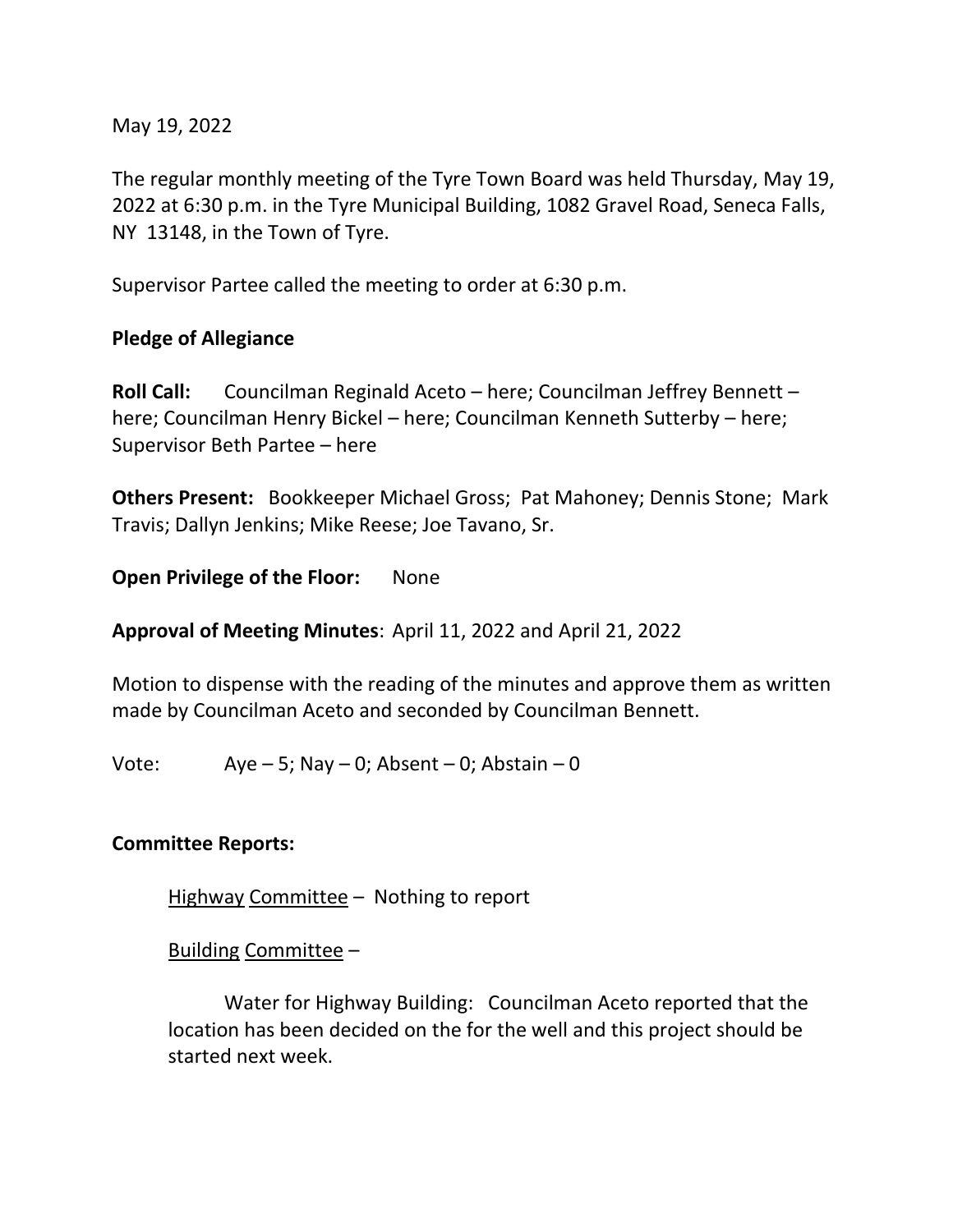May 19, 2022

The regular monthly meeting of the Tyre Town Board was held Thursday, May 19, 2022 at 6:30 p.m. in the Tyre Municipal Building, 1082 Gravel Road, Seneca Falls, NY 13148, in the Town of Tyre.

Supervisor Partee called the meeting to order at 6:30 p.m.

### **Pledge of Allegiance**

**Roll Call:** Councilman Reginald Aceto – here; Councilman Jeffrey Bennett – here; Councilman Henry Bickel – here; Councilman Kenneth Sutterby – here; Supervisor Beth Partee – here

**Others Present:** Bookkeeper Michael Gross; Pat Mahoney; Dennis Stone; Mark Travis; Dallyn Jenkins; Mike Reese; Joe Tavano, Sr.

**Open Privilege of the Floor:** None

**Approval of Meeting Minutes**: April 11, 2022 and April 21, 2022

Motion to dispense with the reading of the minutes and approve them as written made by Councilman Aceto and seconded by Councilman Bennett.

Vote:  $Aye - 5$ ; Nay  $- 0$ ; Absent  $- 0$ ; Abstain  $- 0$ 

### **Committee Reports:**

Highway Committee – Nothing to report

Building Committee –

Water for Highway Building: Councilman Aceto reported that the location has been decided on the for the well and this project should be started next week.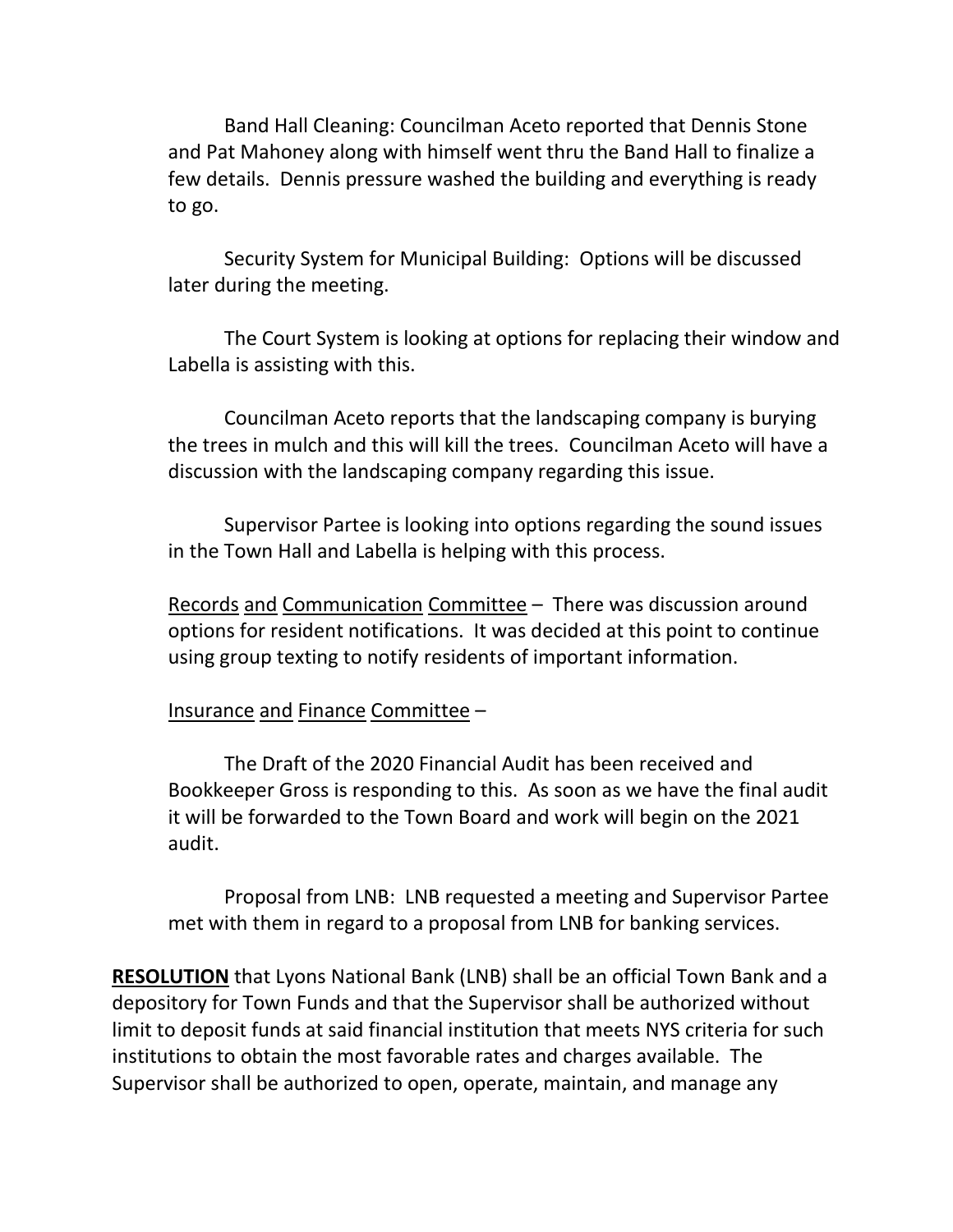Band Hall Cleaning: Councilman Aceto reported that Dennis Stone and Pat Mahoney along with himself went thru the Band Hall to finalize a few details. Dennis pressure washed the building and everything is ready to go.

Security System for Municipal Building: Options will be discussed later during the meeting.

The Court System is looking at options for replacing their window and Labella is assisting with this.

Councilman Aceto reports that the landscaping company is burying the trees in mulch and this will kill the trees. Councilman Aceto will have a discussion with the landscaping company regarding this issue.

Supervisor Partee is looking into options regarding the sound issues in the Town Hall and Labella is helping with this process.

Records and Communication Committee – There was discussion around options for resident notifications. It was decided at this point to continue using group texting to notify residents of important information.

### Insurance and Finance Committee –

The Draft of the 2020 Financial Audit has been received and Bookkeeper Gross is responding to this. As soon as we have the final audit it will be forwarded to the Town Board and work will begin on the 2021 audit.

Proposal from LNB: LNB requested a meeting and Supervisor Partee met with them in regard to a proposal from LNB for banking services.

**RESOLUTION** that Lyons National Bank (LNB) shall be an official Town Bank and a depository for Town Funds and that the Supervisor shall be authorized without limit to deposit funds at said financial institution that meets NYS criteria for such institutions to obtain the most favorable rates and charges available. The Supervisor shall be authorized to open, operate, maintain, and manage any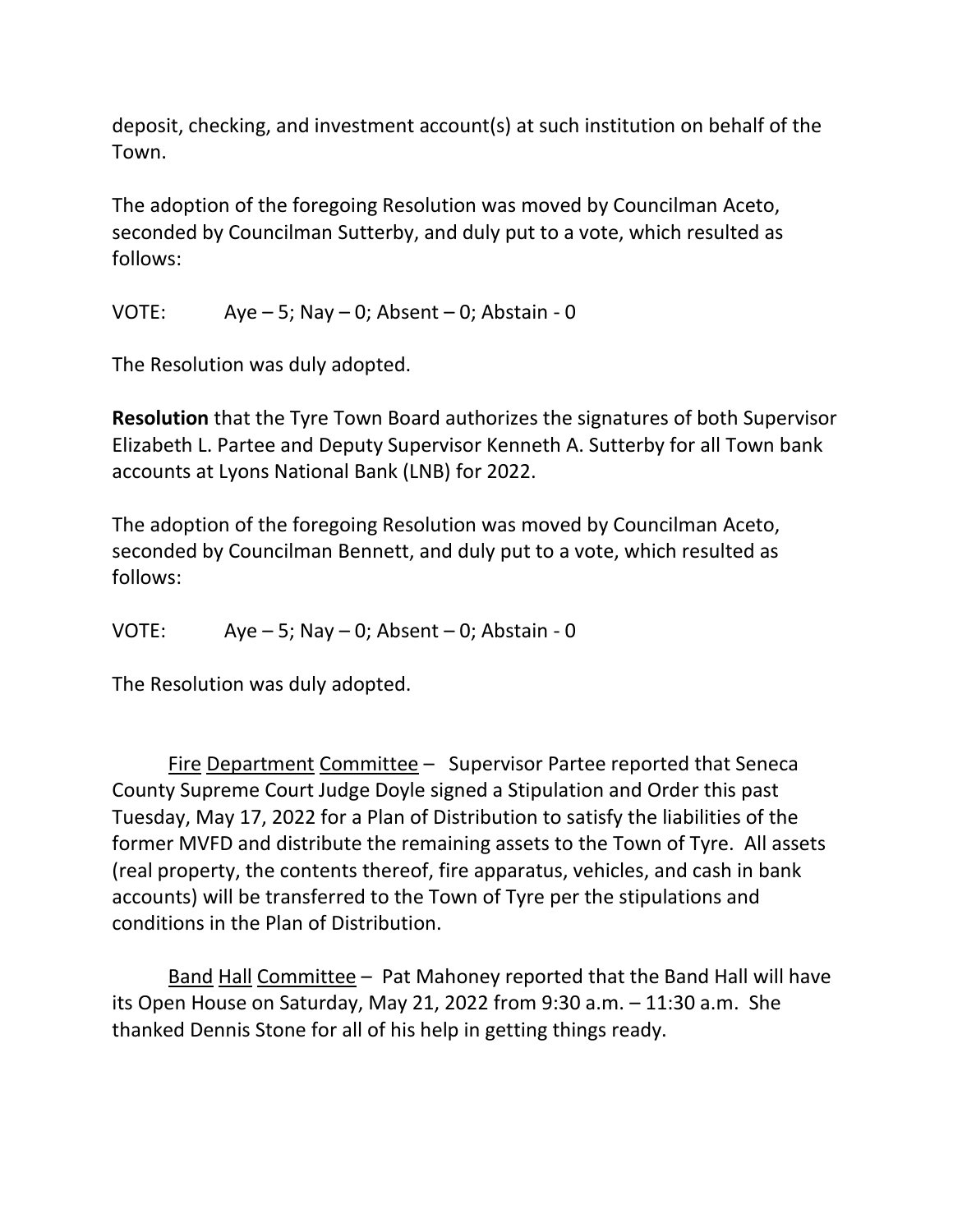deposit, checking, and investment account(s) at such institution on behalf of the Town.

The adoption of the foregoing Resolution was moved by Councilman Aceto, seconded by Councilman Sutterby, and duly put to a vote, which resulted as follows:

VOTE:  $Aye - 5$ ;  $Nay - 0$ ;  $Absent - 0$ ;  $Abstain - 0$ 

The Resolution was duly adopted.

**Resolution** that the Tyre Town Board authorizes the signatures of both Supervisor Elizabeth L. Partee and Deputy Supervisor Kenneth A. Sutterby for all Town bank accounts at Lyons National Bank (LNB) for 2022.

The adoption of the foregoing Resolution was moved by Councilman Aceto, seconded by Councilman Bennett, and duly put to a vote, which resulted as follows:

VOTE:  $Aye - 5$ ; Nay  $- 0$ ; Absent  $- 0$ ; Abstain  $- 0$ 

The Resolution was duly adopted.

Fire Department Committee – Supervisor Partee reported that Seneca County Supreme Court Judge Doyle signed a Stipulation and Order this past Tuesday, May 17, 2022 for a Plan of Distribution to satisfy the liabilities of the former MVFD and distribute the remaining assets to the Town of Tyre. All assets (real property, the contents thereof, fire apparatus, vehicles, and cash in bank accounts) will be transferred to the Town of Tyre per the stipulations and conditions in the Plan of Distribution.

Band Hall Committee – Pat Mahoney reported that the Band Hall will have its Open House on Saturday, May 21, 2022 from 9:30 a.m. – 11:30 a.m. She thanked Dennis Stone for all of his help in getting things ready.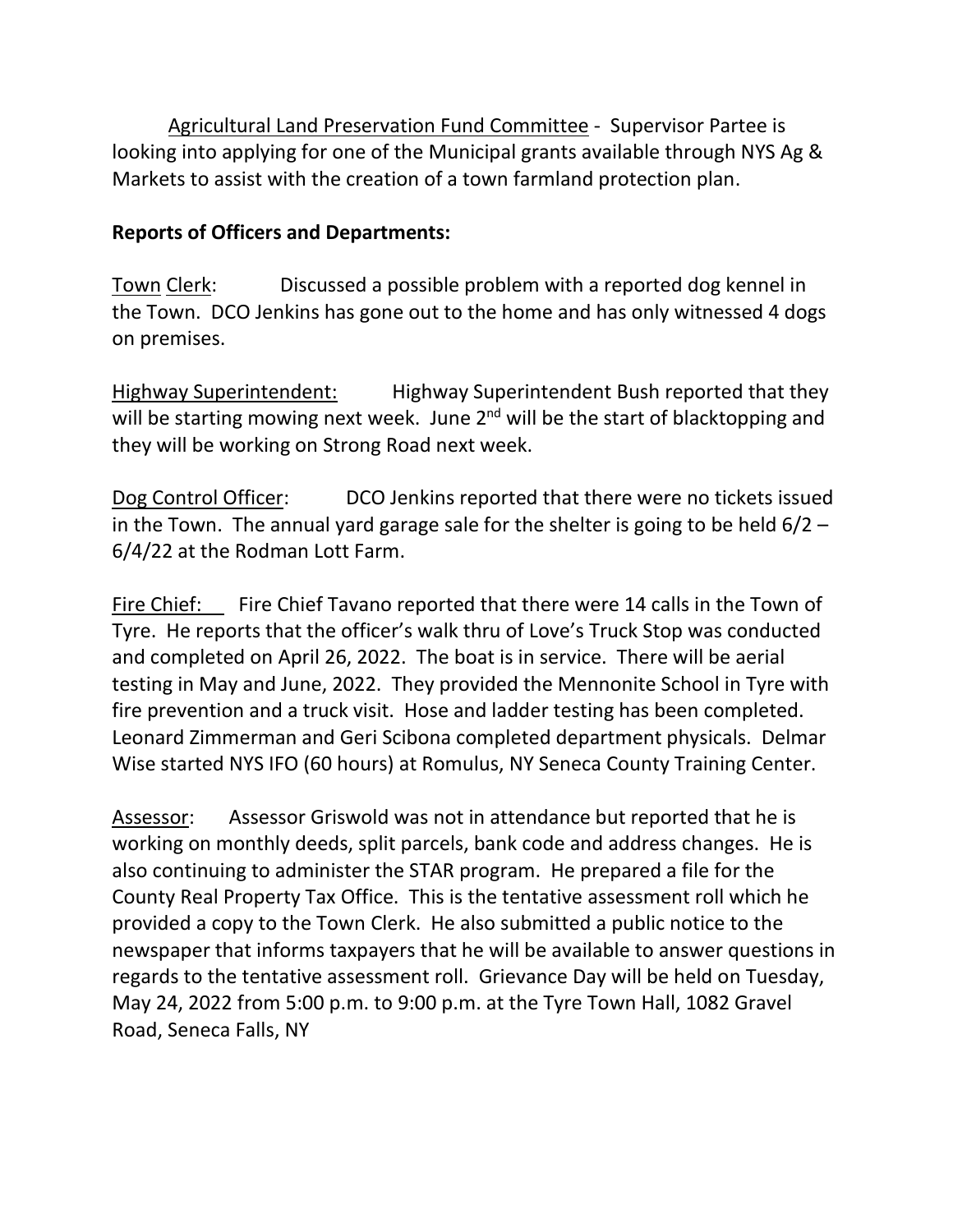Agricultural Land Preservation Fund Committee - Supervisor Partee is looking into applying for one of the Municipal grants available through NYS Ag & Markets to assist with the creation of a town farmland protection plan.

## **Reports of Officers and Departments:**

Town Clerk: Discussed a possible problem with a reported dog kennel in the Town. DCO Jenkins has gone out to the home and has only witnessed 4 dogs on premises.

Highway Superintendent: Highway Superintendent Bush reported that they will be starting mowing next week. June  $2<sup>nd</sup>$  will be the start of blacktopping and they will be working on Strong Road next week.

Dog Control Officer: DCO Jenkins reported that there were no tickets issued in the Town. The annual yard garage sale for the shelter is going to be held 6/2 – 6/4/22 at the Rodman Lott Farm.

Fire Chief: Fire Chief Tavano reported that there were 14 calls in the Town of Tyre. He reports that the officer's walk thru of Love's Truck Stop was conducted and completed on April 26, 2022. The boat is in service. There will be aerial testing in May and June, 2022. They provided the Mennonite School in Tyre with fire prevention and a truck visit. Hose and ladder testing has been completed. Leonard Zimmerman and Geri Scibona completed department physicals. Delmar Wise started NYS IFO (60 hours) at Romulus, NY Seneca County Training Center.

Assessor: Assessor Griswold was not in attendance but reported that he is working on monthly deeds, split parcels, bank code and address changes. He is also continuing to administer the STAR program. He prepared a file for the County Real Property Tax Office. This is the tentative assessment roll which he provided a copy to the Town Clerk. He also submitted a public notice to the newspaper that informs taxpayers that he will be available to answer questions in regards to the tentative assessment roll. Grievance Day will be held on Tuesday, May 24, 2022 from 5:00 p.m. to 9:00 p.m. at the Tyre Town Hall, 1082 Gravel Road, Seneca Falls, NY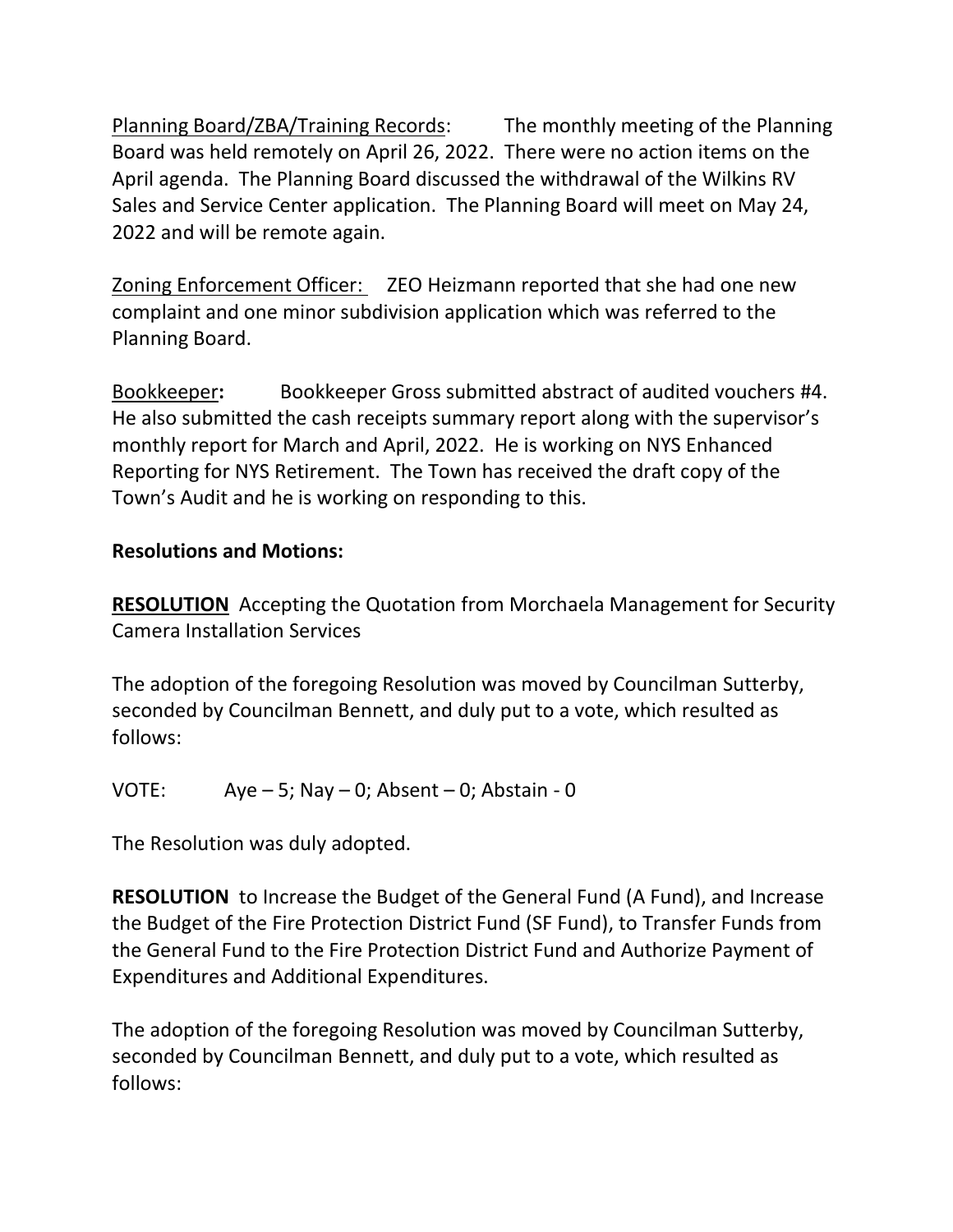Planning Board/ZBA/Training Records: The monthly meeting of the Planning Board was held remotely on April 26, 2022. There were no action items on the April agenda. The Planning Board discussed the withdrawal of the Wilkins RV Sales and Service Center application. The Planning Board will meet on May 24, 2022 and will be remote again.

Zoning Enforcement Officer: ZEO Heizmann reported that she had one new complaint and one minor subdivision application which was referred to the Planning Board.

Bookkeeper**:** Bookkeeper Gross submitted abstract of audited vouchers #4. He also submitted the cash receipts summary report along with the supervisor's monthly report for March and April, 2022. He is working on NYS Enhanced Reporting for NYS Retirement. The Town has received the draft copy of the Town's Audit and he is working on responding to this.

# **Resolutions and Motions:**

**RESOLUTION** Accepting the Quotation from Morchaela Management for Security Camera Installation Services

The adoption of the foregoing Resolution was moved by Councilman Sutterby, seconded by Councilman Bennett, and duly put to a vote, which resulted as follows:

VOTE:  $Aye - 5$ ; Nay  $- 0$ ; Absent  $- 0$ ; Abstain  $- 0$ 

The Resolution was duly adopted.

**RESOLUTION** to Increase the Budget of the General Fund (A Fund), and Increase the Budget of the Fire Protection District Fund (SF Fund), to Transfer Funds from the General Fund to the Fire Protection District Fund and Authorize Payment of Expenditures and Additional Expenditures.

The adoption of the foregoing Resolution was moved by Councilman Sutterby, seconded by Councilman Bennett, and duly put to a vote, which resulted as follows: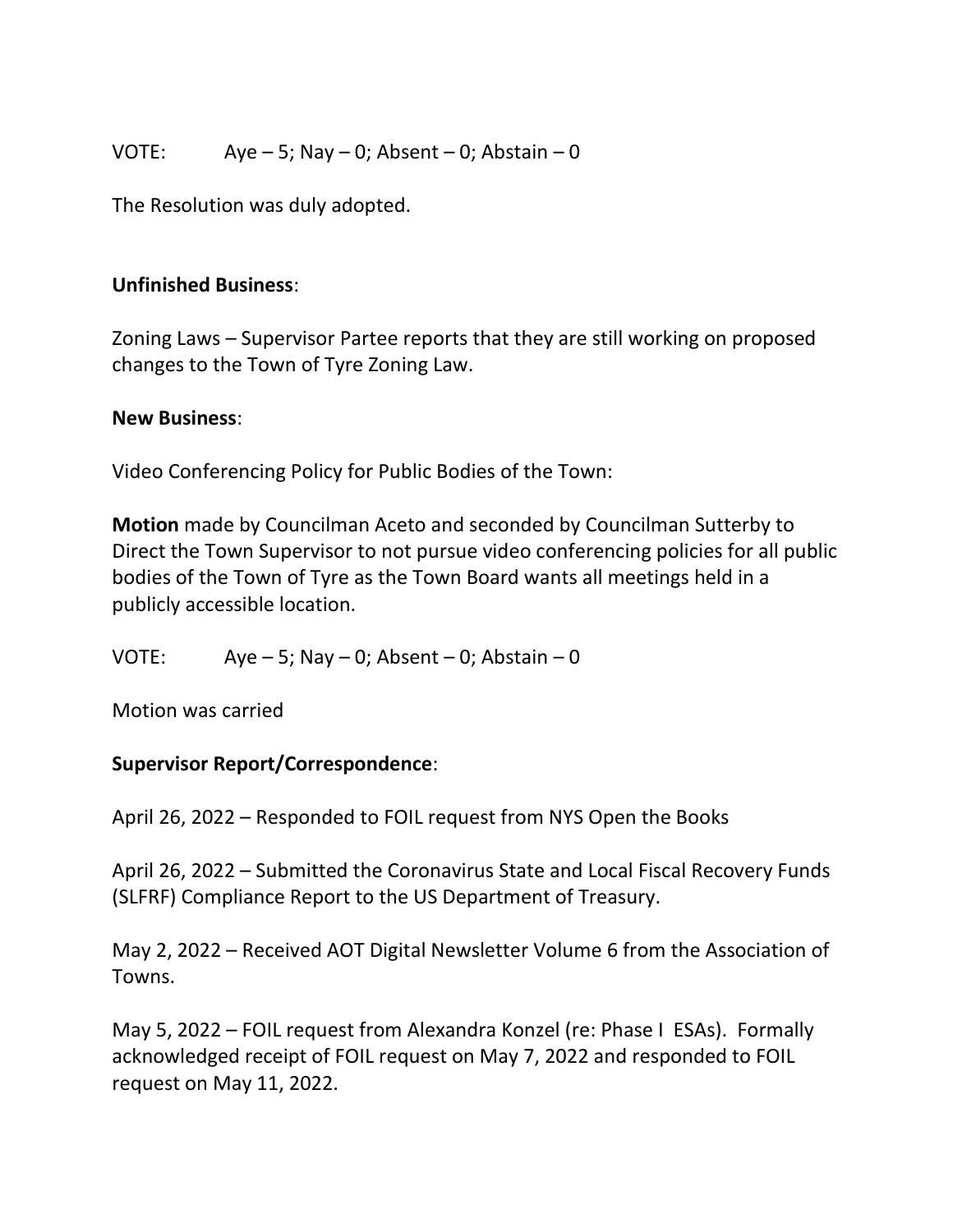## VOTE: Aye – 5; Nay – 0; Absent – 0; Abstain – 0

The Resolution was duly adopted.

## **Unfinished Business**:

Zoning Laws – Supervisor Partee reports that they are still working on proposed changes to the Town of Tyre Zoning Law.

### **New Business**:

Video Conferencing Policy for Public Bodies of the Town:

**Motion** made by Councilman Aceto and seconded by Councilman Sutterby to Direct the Town Supervisor to not pursue video conferencing policies for all public bodies of the Town of Tyre as the Town Board wants all meetings held in a publicly accessible location.

VOTE: Aye – 5; Nay – 0; Absent – 0; Abstain – 0

Motion was carried

## **Supervisor Report/Correspondence**:

April 26, 2022 – Responded to FOIL request from NYS Open the Books

April 26, 2022 – Submitted the Coronavirus State and Local Fiscal Recovery Funds (SLFRF) Compliance Report to the US Department of Treasury.

May 2, 2022 – Received AOT Digital Newsletter Volume 6 from the Association of Towns.

May 5, 2022 – FOIL request from Alexandra Konzel (re: Phase I ESAs). Formally acknowledged receipt of FOIL request on May 7, 2022 and responded to FOIL request on May 11, 2022.